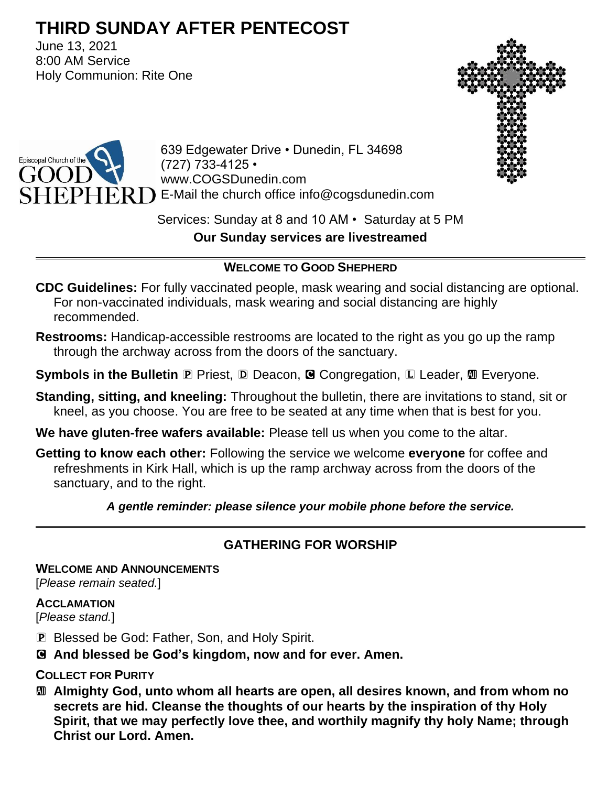# **THIRD SUNDAY AFTER PENTECOST**

June 13, 2021 8:00 AM Service Holy Communion: Rite One





639 Edgewater Drive • Dunedin, FL 34698 (727) 733-4125 • www.COGSDunedin.com E-Mail the church office info@cogsdunedin.com

Services: Sunday at 8 and 10 AM • Saturday at 5 PM **Our Sunday services are livestreamed**

#### **WELCOME TO GOOD SHEPHERD**

- **CDC Guidelines:** For fully vaccinated people, mask wearing and social distancing are optional. For non-vaccinated individuals, mask wearing and social distancing are highly recommended.
- **Restrooms:** Handicap-accessible restrooms are located to the right as you go up the ramp through the archway across from the doors of the sanctuary.
- **Symbols in the Bulletin P** Priest, **D** Deacon, **G** Congregation, **L** Leader, **M** Everyone.
- **Standing, sitting, and kneeling:** Throughout the bulletin, there are invitations to stand, sit or kneel, as you choose. You are free to be seated at any time when that is best for you.
- **We have gluten-free wafers available:** Please tell us when you come to the altar.
- **Getting to know each other:** Following the service we welcome **everyone** for coffee and refreshments in Kirk Hall, which is up the ramp archway across from the doors of the sanctuary, and to the right.

#### *A gentle reminder: please silence your mobile phone before the service.*

## **GATHERING FOR WORSHIP**

**WELCOME AND ANNOUNCEMENTS**

[*Please remain seated.*]

#### **ACCLAMATION**

[*Please stand.*]

- P Blessed be God: Father, Son, and Holy Spirit.
- C **And blessed be God's kingdom, now and for ever. Amen.**

#### **COLLECT FOR PURITY**

a **Almighty God, unto whom all hearts are open, all desires known, and from whom no secrets are hid. Cleanse the thoughts of our hearts by the inspiration of thy Holy Spirit, that we may perfectly love thee, and worthily magnify thy holy Name; through Christ our Lord. Amen.**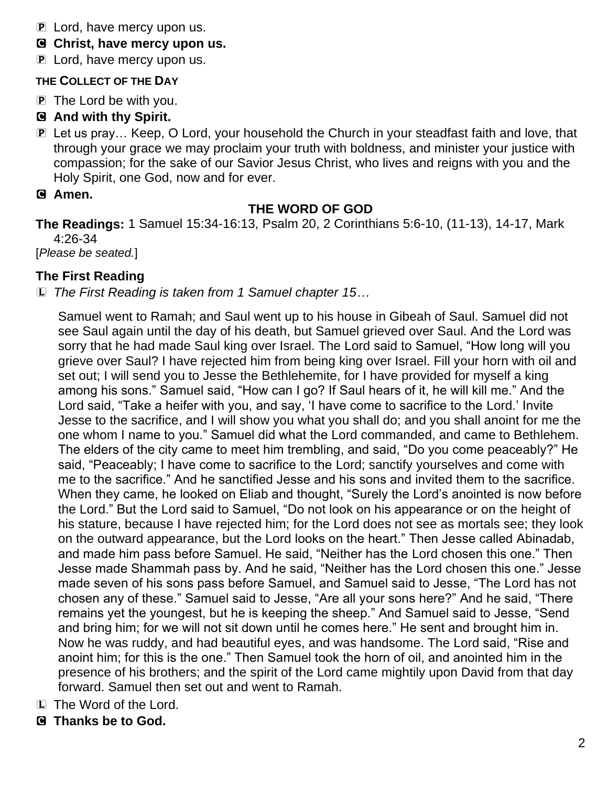#### **P** Lord, have mercy upon us.

#### C **Christ, have mercy upon us.**

**P** Lord, have mercy upon us.

#### **THE COLLECT OF THE DAY**

P The Lord be with you.

## C **And with thy Spirit.**

- P Let us pray… Keep, O Lord, your household the Church in your steadfast faith and love, that through your grace we may proclaim your truth with boldness, and minister your justice with compassion; for the sake of our Savior Jesus Christ, who lives and reigns with you and the Holy Spirit, one God, now and for ever.
- C **Amen.**

## **THE WORD OF GOD**

**The Readings:** 1 Samuel 15:34-16:13, Psalm 20, 2 Corinthians 5:6-10, (11-13), 14-17, Mark 4:26-34

[*Please be seated.*]

## **The First Reading**

L *The First Reading is taken from 1 Samuel chapter 15…*

Samuel went to Ramah; and Saul went up to his house in Gibeah of Saul. Samuel did not see Saul again until the day of his death, but Samuel grieved over Saul. And the Lord was sorry that he had made Saul king over Israel. The Lord said to Samuel, "How long will you grieve over Saul? I have rejected him from being king over Israel. Fill your horn with oil and set out; I will send you to Jesse the Bethlehemite, for I have provided for myself a king among his sons." Samuel said, "How can I go? If Saul hears of it, he will kill me." And the Lord said, "Take a heifer with you, and say, 'I have come to sacrifice to the Lord.' Invite Jesse to the sacrifice, and I will show you what you shall do; and you shall anoint for me the one whom I name to you." Samuel did what the Lord commanded, and came to Bethlehem. The elders of the city came to meet him trembling, and said, "Do you come peaceably?" He said, "Peaceably; I have come to sacrifice to the Lord; sanctify yourselves and come with me to the sacrifice." And he sanctified Jesse and his sons and invited them to the sacrifice. When they came, he looked on Eliab and thought, "Surely the Lord's anointed is now before the Lord." But the Lord said to Samuel, "Do not look on his appearance or on the height of his stature, because I have rejected him; for the Lord does not see as mortals see; they look on the outward appearance, but the Lord looks on the heart." Then Jesse called Abinadab, and made him pass before Samuel. He said, "Neither has the Lord chosen this one." Then Jesse made Shammah pass by. And he said, "Neither has the Lord chosen this one." Jesse made seven of his sons pass before Samuel, and Samuel said to Jesse, "The Lord has not chosen any of these." Samuel said to Jesse, "Are all your sons here?" And he said, "There remains yet the youngest, but he is keeping the sheep." And Samuel said to Jesse, "Send and bring him; for we will not sit down until he comes here." He sent and brought him in. Now he was ruddy, and had beautiful eyes, and was handsome. The Lord said, "Rise and anoint him; for this is the one." Then Samuel took the horn of oil, and anointed him in the presence of his brothers; and the spirit of the Lord came mightily upon David from that day forward. Samuel then set out and went to Ramah.

- L The Word of the Lord.
- C **Thanks be to God.**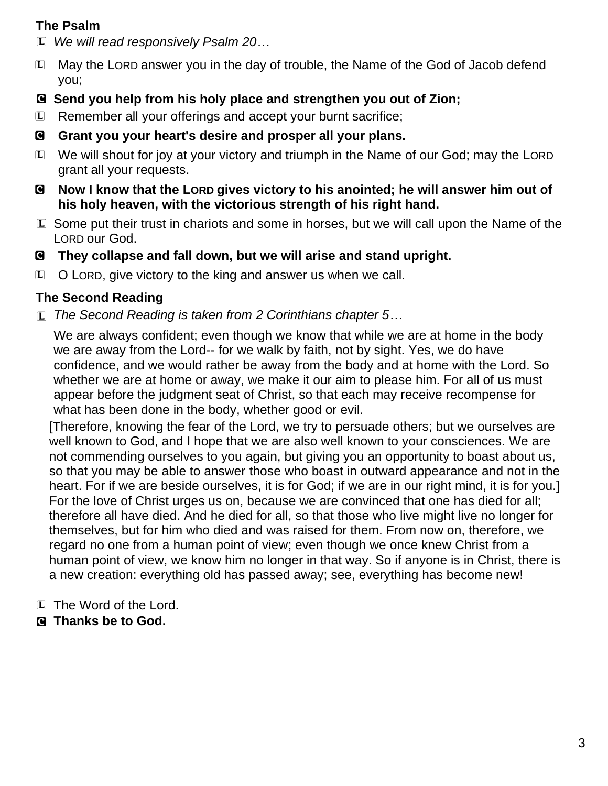## **The Psalm**

- L *We will read responsively Psalm 20…*
- L May the LORD answer you in the day of trouble, the Name of the God of Jacob defend you;
- C **Send you help from his holy place and strengthen you out of Zion;**
- L Remember all your offerings and accept your burnt sacrifice;
- C **Grant you your heart's desire and prosper all your plans.**
- L We will shout for joy at your victory and triumph in the Name of our God; may the LORD grant all your requests.
- C **Now I know that the LORD gives victory to his anointed; he will answer him out of his holy heaven, with the victorious strength of his right hand.**
- L Some put their trust in chariots and some in horses, but we will call upon the Name of the LORD our God.
- C **They collapse and fall down, but we will arise and stand upright.**
- **L** O LORD, give victory to the king and answer us when we call.

## **The Second Reading**

L *The Second Reading is taken from 2 Corinthians chapter 5…*

We are always confident; even though we know that while we are at home in the body we are away from the Lord-- for we walk by faith, not by sight. Yes, we do have confidence, and we would rather be away from the body and at home with the Lord. So whether we are at home or away, we make it our aim to please him. For all of us must appear before the judgment seat of Christ, so that each may receive recompense for what has been done in the body, whether good or evil.

[Therefore, knowing the fear of the Lord, we try to persuade others; but we ourselves are well known to God, and I hope that we are also well known to your consciences. We are not commending ourselves to you again, but giving you an opportunity to boast about us, so that you may be able to answer those who boast in outward appearance and not in the heart. For if we are beside ourselves, it is for God; if we are in our right mind, it is for you.] For the love of Christ urges us on, because we are convinced that one has died for all; therefore all have died. And he died for all, so that those who live might live no longer for themselves, but for him who died and was raised for them. From now on, therefore, we regard no one from a human point of view; even though we once knew Christ from a human point of view, we know him no longer in that way. So if anyone is in Christ, there is a new creation: everything old has passed away; see, everything has become new!

- L The Word of the Lord.
- C **Thanks be to God.**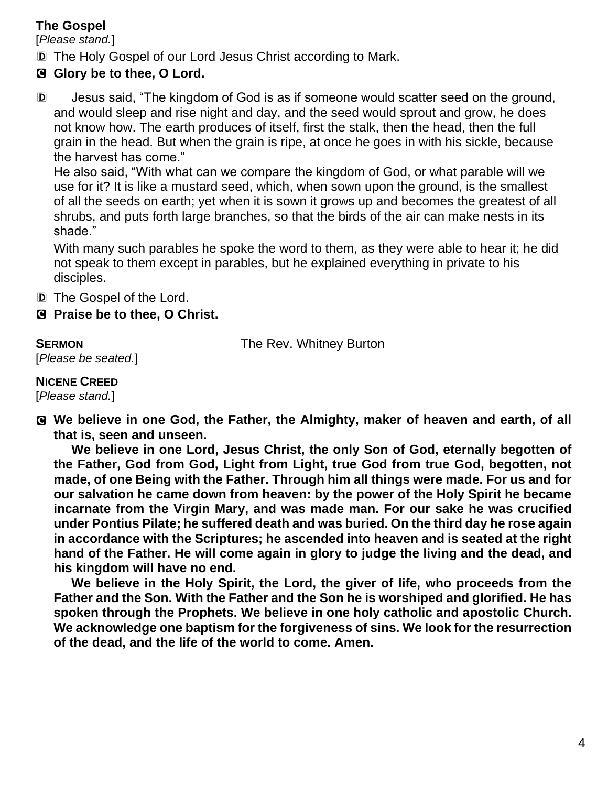## **The Gospel**

[*Please stand.*]

D The Holy Gospel of our Lord Jesus Christ according to Mark.

## C **Glory be to thee, O Lord.**

D Jesus said, "The kingdom of God is as if someone would scatter seed on the ground, and would sleep and rise night and day, and the seed would sprout and grow, he does not know how. The earth produces of itself, first the stalk, then the head, then the full grain in the head. But when the grain is ripe, at once he goes in with his sickle, because the harvest has come."

He also said, "With what can we compare the kingdom of God, or what parable will we use for it? It is like a mustard seed, which, when sown upon the ground, is the smallest of all the seeds on earth; yet when it is sown it grows up and becomes the greatest of all shrubs, and puts forth large branches, so that the birds of the air can make nests in its shade."

With many such parables he spoke the word to them, as they were able to hear it; he did not speak to them except in parables, but he explained everything in private to his disciples.

D The Gospel of the Lord.

## C **Praise be to thee, O Christ.**

**SERMON** The Rev. Whitney Burton

[*Please be seated.*]

#### **NICENE CREED**  [*Please stand.*]

C **We believe in one God, the Father, the Almighty, maker of heaven and earth, of all that is, seen and unseen.** 

**We believe in one Lord, Jesus Christ, the only Son of God, eternally begotten of the Father, God from God, Light from Light, true God from true God, begotten, not made, of one Being with the Father. Through him all things were made. For us and for our salvation he came down from heaven: by the power of the Holy Spirit he became incarnate from the Virgin Mary, and was made man. For our sake he was crucified under Pontius Pilate; he suffered death and was buried. On the third day he rose again in accordance with the Scriptures; he ascended into heaven and is seated at the right hand of the Father. He will come again in glory to judge the living and the dead, and his kingdom will have no end.**

**We believe in the Holy Spirit, the Lord, the giver of life, who proceeds from the Father and the Son. With the Father and the Son he is worshiped and glorified. He has spoken through the Prophets. We believe in one holy catholic and apostolic Church. We acknowledge one baptism for the forgiveness of sins. We look for the resurrection of the dead, and the life of the world to come. Amen.**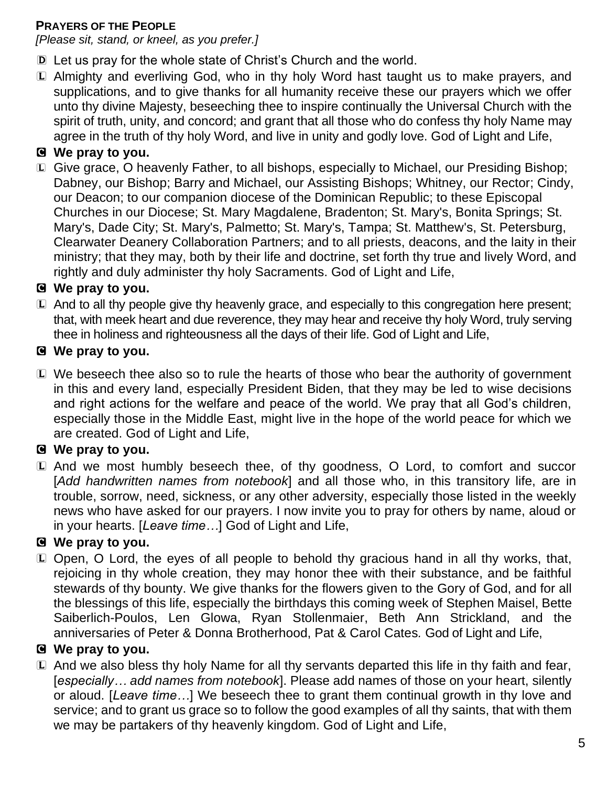#### **PRAYERS OF THE PEOPLE**

*[Please sit, stand, or kneel, as you prefer.]*

- D Let us pray for the whole state of Christ's Church and the world.
- L Almighty and everliving God, who in thy holy Word hast taught us to make prayers, and supplications, and to give thanks for all humanity receive these our prayers which we offer unto thy divine Majesty, beseeching thee to inspire continually the Universal Church with the spirit of truth, unity, and concord; and grant that all those who do confess thy holy Name may agree in the truth of thy holy Word, and live in unity and godly love. God of Light and Life,

## C **We pray to you.**

L Give grace, O heavenly Father, to all bishops, especially to Michael, our Presiding Bishop; Dabney, our Bishop; Barry and Michael, our Assisting Bishops; Whitney, our Rector; Cindy, our Deacon; to our companion diocese of the Dominican Republic; to these Episcopal Churches in our Diocese; St. Mary Magdalene, Bradenton; St. Mary's, Bonita Springs; St. Mary's, Dade City; St. Mary's, Palmetto; St. Mary's, Tampa; St. Matthew's, St. Petersburg, Clearwater Deanery Collaboration Partners; and to all priests, deacons, and the laity in their ministry; that they may, both by their life and doctrine, set forth thy true and lively Word, and rightly and duly administer thy holy Sacraments. God of Light and Life,

## C **We pray to you.**

L And to all thy people give thy heavenly grace, and especially to this congregation here present; that, with meek heart and due reverence, they may hear and receive thy holy Word, truly serving thee in holiness and righteousness all the days of their life. God of Light and Life,

## C **We pray to you.**

L We beseech thee also so to rule the hearts of those who bear the authority of government in this and every land, especially President Biden, that they may be led to wise decisions and right actions for the welfare and peace of the world. We pray that all God's children, especially those in the Middle East, might live in the hope of the world peace for which we are created. God of Light and Life,

## C **We pray to you.**

L And we most humbly beseech thee, of thy goodness, O Lord, to comfort and succor [*Add handwritten names from notebook*] and all those who, in this transitory life, are in trouble, sorrow, need, sickness, or any other adversity, especially those listed in the weekly news who have asked for our prayers. I now invite you to pray for others by name, aloud or in your hearts. [*Leave time…*] God of Light and Life,

## C **We pray to you.**

L Open, O Lord, the eyes of all people to behold thy gracious hand in all thy works, that, rejoicing in thy whole creation, they may honor thee with their substance, and be faithful stewards of thy bounty. We give thanks for the flowers given to the Gory of God, and for all the blessings of this life, especially the birthdays this coming week of Stephen Maisel, Bette Saiberlich-Poulos, Len Glowa, Ryan Stollenmaier, Beth Ann Strickland, and the anniversaries of Peter & Donna Brotherhood, Pat & Carol Cates*.* God of Light and Life,

## C **We pray to you.**

L And we also bless thy holy Name for all thy servants departed this life in thy faith and fear, [*especially… add names from notebook*]. Please add names of those on your heart, silently or aloud. [*Leave time…*] We beseech thee to grant them continual growth in thy love and service; and to grant us grace so to follow the good examples of all thy saints, that with them we may be partakers of thy heavenly kingdom. God of Light and Life,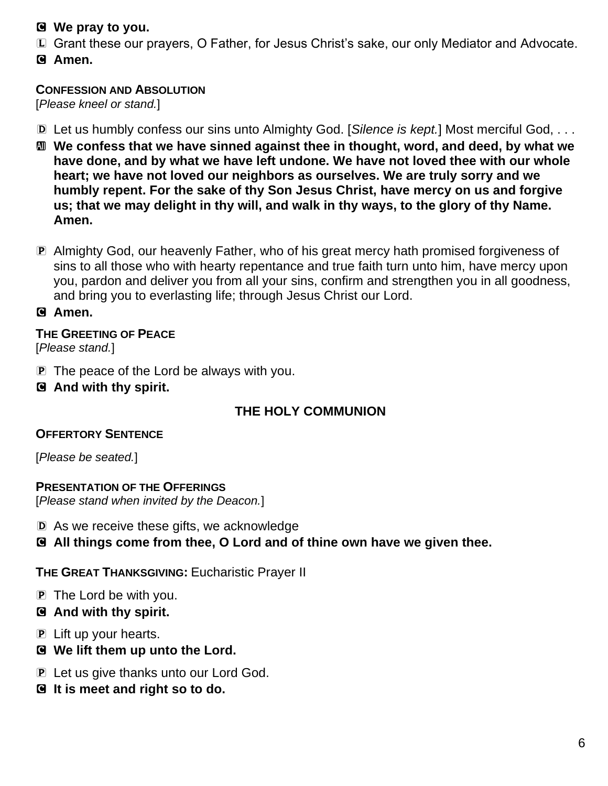## C **We pray to you.**

- L Grant these our prayers, O Father, for Jesus Christ's sake, our only Mediator and Advocate.
- C **Amen.**

## **CONFESSION AND ABSOLUTION**

[*Please kneel or stand.*]

- D Let us humbly confess our sins unto Almighty God. [*Silence is kept.*] Most merciful God, . . .
- a **We confess that we have sinned against thee in thought, word, and deed, by what we have done, and by what we have left undone. We have not loved thee with our whole heart; we have not loved our neighbors as ourselves. We are truly sorry and we humbly repent. For the sake of thy Son Jesus Christ, have mercy on us and forgive us; that we may delight in thy will, and walk in thy ways, to the glory of thy Name. Amen.**
- P Almighty God, our heavenly Father, who of his great mercy hath promised forgiveness of sins to all those who with hearty repentance and true faith turn unto him, have mercy upon you, pardon and deliver you from all your sins, confirm and strengthen you in all goodness, and bring you to everlasting life; through Jesus Christ our Lord.

#### C **Amen.**

#### **THE GREETING OF PEACE** [*Please stand.*]

- P The peace of the Lord be always with you.
- C **And with thy spirit.**

## **THE HOLY COMMUNION**

#### **OFFERTORY SENTENCE**

[*Please be seated.*]

#### **PRESENTATION OF THE OFFERINGS**

[*Please stand when invited by the Deacon.*]

D As we receive these gifts, we acknowledge

C **All things come from thee, O Lord and of thine own have we given thee.**

**THE GREAT THANKSGIVING:** Eucharistic Prayer II

- P The Lord be with you.
- C **And with thy spirit.**
- P Lift up your hearts.
- C **We lift them up unto the Lord.**
- P Let us give thanks unto our Lord God.
- C **It is meet and right so to do.**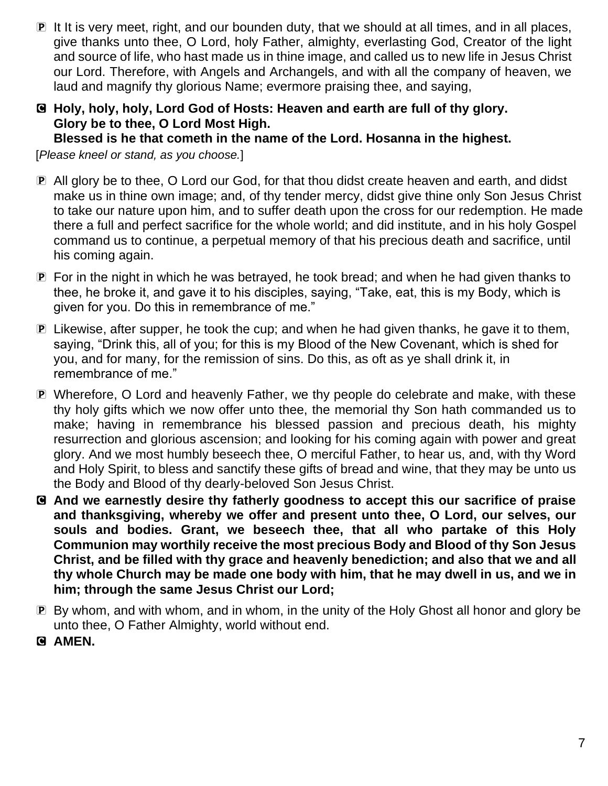P It It is very meet, right, and our bounden duty, that we should at all times, and in all places, give thanks unto thee, O Lord, holy Father, almighty, everlasting God, Creator of the light and source of life, who hast made us in thine image, and called us to new life in Jesus Christ our Lord. Therefore, with Angels and Archangels, and with all the company of heaven, we laud and magnify thy glorious Name; evermore praising thee, and saying,

## C **Holy, holy, holy, Lord God of Hosts: Heaven and earth are full of thy glory. Glory be to thee, O Lord Most High.**

**Blessed is he that cometh in the name of the Lord. Hosanna in the highest.**

[*Please kneel or stand, as you choose.*]

- P All glory be to thee, O Lord our God, for that thou didst create heaven and earth, and didst make us in thine own image; and, of thy tender mercy, didst give thine only Son Jesus Christ to take our nature upon him, and to suffer death upon the cross for our redemption. He made there a full and perfect sacrifice for the whole world; and did institute, and in his holy Gospel command us to continue, a perpetual memory of that his precious death and sacrifice, until his coming again.
- P For in the night in which he was betrayed, he took bread; and when he had given thanks to thee, he broke it, and gave it to his disciples, saying, "Take, eat, this is my Body, which is given for you. Do this in remembrance of me."
- P Likewise, after supper, he took the cup; and when he had given thanks, he gave it to them, saying, "Drink this, all of you; for this is my Blood of the New Covenant, which is shed for you, and for many, for the remission of sins. Do this, as oft as ye shall drink it, in remembrance of me."
- P Wherefore, O Lord and heavenly Father, we thy people do celebrate and make, with these thy holy gifts which we now offer unto thee, the memorial thy Son hath commanded us to make; having in remembrance his blessed passion and precious death, his mighty resurrection and glorious ascension; and looking for his coming again with power and great glory. And we most humbly beseech thee, O merciful Father, to hear us, and, with thy Word and Holy Spirit, to bless and sanctify these gifts of bread and wine, that they may be unto us the Body and Blood of thy dearly-beloved Son Jesus Christ.
- C **And we earnestly desire thy fatherly goodness to accept this our sacrifice of praise and thanksgiving, whereby we offer and present unto thee, O Lord, our selves, our souls and bodies. Grant, we beseech thee, that all who partake of this Holy Communion may worthily receive the most precious Body and Blood of thy Son Jesus Christ, and be filled with thy grace and heavenly benediction; and also that we and all thy whole Church may be made one body with him, that he may dwell in us, and we in him; through the same Jesus Christ our Lord;**
- P By whom, and with whom, and in whom, in the unity of the Holy Ghost all honor and glory be unto thee, O Father Almighty, world without end.
- C **AMEN.**